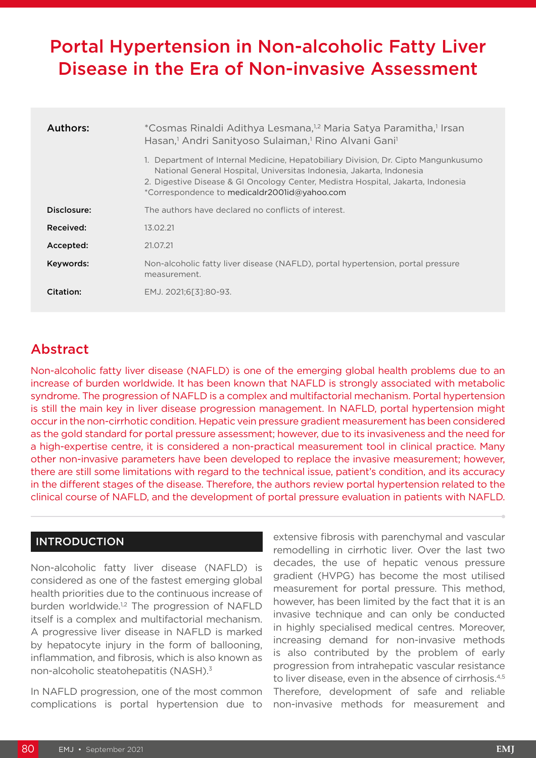# Portal Hypertension in Non-alcoholic Fatty Liver Disease in the Era of Non-invasive Assessment

| Authors:    | *Cosmas Rinaldi Adithya Lesmana, <sup>1,2</sup> Maria Satya Paramitha,1 Irsan<br>Hasan, <sup>1</sup> Andri Sanityoso Sulaiman, <sup>1</sup> Rino Alvani Gani <sup>1</sup>                                                                                                                      |  |  |  |  |
|-------------|------------------------------------------------------------------------------------------------------------------------------------------------------------------------------------------------------------------------------------------------------------------------------------------------|--|--|--|--|
|             | 1. Department of Internal Medicine, Hepatobiliary Division, Dr. Cipto Mangunkusumo<br>National General Hospital, Universitas Indonesia, Jakarta, Indonesia<br>2. Digestive Disease & GI Oncology Center, Medistra Hospital, Jakarta, Indonesia<br>*Correspondence to medicaldr2001id@yahoo.com |  |  |  |  |
| Disclosure: | The authors have declared no conflicts of interest.                                                                                                                                                                                                                                            |  |  |  |  |
| Received:   | 13.02.21                                                                                                                                                                                                                                                                                       |  |  |  |  |
| Accepted:   | 21.07.21                                                                                                                                                                                                                                                                                       |  |  |  |  |
| Keywords:   | Non-alcoholic fatty liver disease (NAFLD), portal hypertension, portal pressure<br>measurement.                                                                                                                                                                                                |  |  |  |  |
| Citation:   | EMJ. 2021;6[3]:80-93.                                                                                                                                                                                                                                                                          |  |  |  |  |

# Abstract

Non-alcoholic fatty liver disease (NAFLD) is one of the emerging global health problems due to an increase of burden worldwide. It has been known that NAFLD is strongly associated with metabolic syndrome. The progression of NAFLD is a complex and multifactorial mechanism. Portal hypertension is still the main key in liver disease progression management. In NAFLD, portal hypertension might occur in the non-cirrhotic condition. Hepatic vein pressure gradient measurement has been considered as the gold standard for portal pressure assessment; however, due to its invasiveness and the need for a high-expertise centre, it is considered a non-practical measurement tool in clinical practice. Many other non-invasive parameters have been developed to replace the invasive measurement; however, there are still some limitations with regard to the technical issue, patient's condition, and its accuracy in the different stages of the disease. Therefore, the authors review portal hypertension related to the clinical course of NAFLD, and the development of portal pressure evaluation in patients with NAFLD.

#### INTRODUCTION

Non-alcoholic fatty liver disease (NAFLD) is considered as one of the fastest emerging global health priorities due to the continuous increase of burden worldwide.<sup>1,2</sup> The progression of NAFLD itself is a complex and multifactorial mechanism. A progressive liver disease in NAFLD is marked by hepatocyte injury in the form of ballooning, inflammation, and fibrosis, which is also known as non-alcoholic steatohepatitis (NASH).3

In NAFLD progression, one of the most common complications is portal hypertension due to

extensive fibrosis with parenchymal and vascular remodelling in cirrhotic liver. Over the last two decades, the use of hepatic venous pressure gradient (HVPG) has become the most utilised measurement for portal pressure. This method, however, has been limited by the fact that it is an invasive technique and can only be conducted in highly specialised medical centres. Moreover, increasing demand for non-invasive methods is also contributed by the problem of early progression from intrahepatic vascular resistance to liver disease, even in the absence of cirrhosis.<sup>4,5</sup> Therefore, development of safe and reliable non-invasive methods for measurement and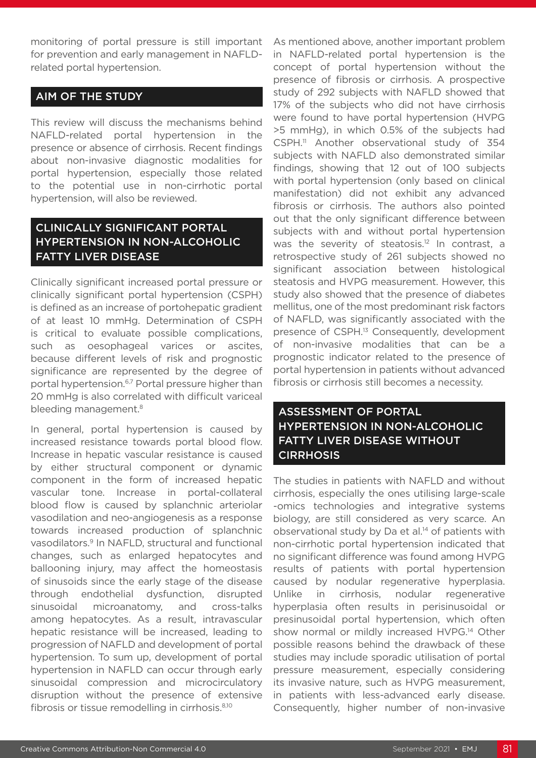monitoring of portal pressure is still important for prevention and early management in NAFLDrelated portal hypertension.

### AIM OF THE STUDY

This review will discuss the mechanisms behind NAFLD-related portal hypertension in the presence or absence of cirrhosis. Recent findings about non-invasive diagnostic modalities for portal hypertension, especially those related to the potential use in non-cirrhotic portal hypertension, will also be reviewed.

# CLINICALLY SIGNIFICANT PORTAL HYPERTENSION IN NON-ALCOHOLIC FATTY LIVER DISEASE

Clinically significant increased portal pressure or clinically significant portal hypertension (CSPH) is defined as an increase of portohepatic gradient of at least 10 mmHg. Determination of CSPH is critical to evaluate possible complications, such as oesophageal varices or ascites, because different levels of risk and prognostic significance are represented by the degree of portal hypertension.<sup>6,7</sup> Portal pressure higher than 20 mmHg is also correlated with difficult variceal bleeding management.<sup>8</sup>

In general, portal hypertension is caused by increased resistance towards portal blood flow. Increase in hepatic vascular resistance is caused by either structural component or dynamic component in the form of increased hepatic vascular tone. Increase in portal-collateral blood flow is caused by splanchnic arteriolar vasodilation and neo-angiogenesis as a response towards increased production of splanchnic vasodilators.9 In NAFLD, structural and functional changes, such as enlarged hepatocytes and ballooning injury, may affect the homeostasis of sinusoids since the early stage of the disease through endothelial dysfunction, disrupted sinusoidal microanatomy, and cross-talks among hepatocytes. As a result, intravascular hepatic resistance will be increased, leading to progression of NAFLD and development of portal hypertension. To sum up, development of portal hypertension in NAFLD can occur through early sinusoidal compression and microcirculatory disruption without the presence of extensive fibrosis or tissue remodelling in cirrhosis.8,10

As mentioned above, another important problem in NAFLD-related portal hypertension is the concept of portal hypertension without the presence of fibrosis or cirrhosis. A prospective study of 292 subjects with NAFLD showed that 17% of the subjects who did not have cirrhosis were found to have portal hypertension (HVPG >5 mmHg), in which 0.5% of the subjects had CSPH.<sup>11</sup> Another observational study of 354 subjects with NAFLD also demonstrated similar findings, showing that 12 out of 100 subjects with portal hypertension (only based on clinical manifestation) did not exhibit any advanced fibrosis or cirrhosis. The authors also pointed out that the only significant difference between subjects with and without portal hypertension was the severity of steatosis.<sup>12</sup> In contrast, a retrospective study of 261 subjects showed no significant association between histological steatosis and HVPG measurement. However, this study also showed that the presence of diabetes mellitus, one of the most predominant risk factors of NAFLD, was significantly associated with the presence of CSPH.<sup>13</sup> Consequently, development of non-invasive modalities that can be a prognostic indicator related to the presence of portal hypertension in patients without advanced fibrosis or cirrhosis still becomes a necessity.

# ASSESSMENT OF PORTAL HYPERTENSION IN NON-ALCOHOLIC FATTY LIVER DISEASE WITHOUT **CIRRHOSIS**

The studies in patients with NAFLD and without cirrhosis, especially the ones utilising large-scale -omics technologies and integrative systems biology, are still considered as very scarce. An observational study by Da et al.14 of patients with non-cirrhotic portal hypertension indicated that no significant difference was found among HVPG results of patients with portal hypertension caused by nodular regenerative hyperplasia. Unlike in cirrhosis, nodular regenerative hyperplasia often results in perisinusoidal or presinusoidal portal hypertension, which often show normal or mildly increased HVPG.<sup>14</sup> Other possible reasons behind the drawback of these studies may include sporadic utilisation of portal pressure measurement, especially considering its invasive nature, such as HVPG measurement, in patients with less-advanced early disease. Consequently, higher number of non-invasive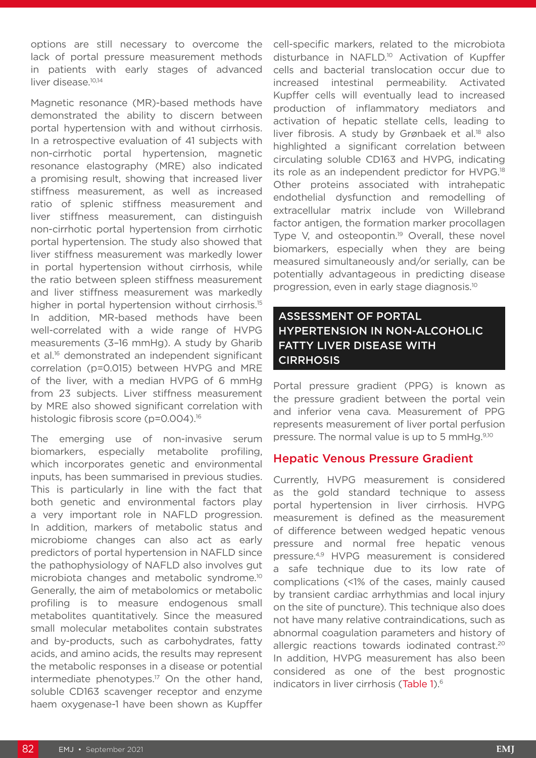options are still necessary to overcome the lack of portal pressure measurement methods in patients with early stages of advanced liver disease.<sup>10,14</sup>

Magnetic resonance (MR)-based methods have demonstrated the ability to discern between portal hypertension with and without cirrhosis. In a retrospective evaluation of 41 subjects with non-cirrhotic portal hypertension, magnetic resonance elastography (MRE) also indicated a promising result, showing that increased liver stiffness measurement, as well as increased ratio of splenic stiffness measurement and liver stiffness measurement, can distinguish non-cirrhotic portal hypertension from cirrhotic portal hypertension. The study also showed that liver stiffness measurement was markedly lower in portal hypertension without cirrhosis, while the ratio between spleen stiffness measurement and liver stiffness measurement was markedly higher in portal hypertension without cirrhosis.<sup>15</sup> In addition, MR-based methods have been well-correlated with a wide range of HVPG measurements (3–16 mmHg). A study by Gharib et al.16 demonstrated an independent significant correlation (p=0.015) between HVPG and MRE of the liver, with a median HVPG of 6 mmHg from 23 subjects. Liver stiffness measurement by MRE also showed significant correlation with histologic fibrosis score (p=0.004).<sup>16</sup>

The emerging use of non-invasive serum biomarkers, especially metabolite profiling, which incorporates genetic and environmental inputs, has been summarised in previous studies. This is particularly in line with the fact that both genetic and environmental factors play a very important role in NAFLD progression. In addition, markers of metabolic status and microbiome changes can also act as early predictors of portal hypertension in NAFLD since the pathophysiology of NAFLD also involves gut microbiota changes and metabolic syndrome.10 Generally, the aim of metabolomics or metabolic profiling is to measure endogenous small metabolites quantitatively. Since the measured small molecular metabolites contain substrates and by-products, such as carbohydrates, fatty acids, and amino acids, the results may represent the metabolic responses in a disease or potential intermediate phenotypes.<sup>17</sup> On the other hand, soluble CD163 scavenger receptor and enzyme haem oxygenase-1 have been shown as Kupffer

cell-specific markers, related to the microbiota disturbance in NAFLD.<sup>10</sup> Activation of Kupffer cells and bacterial translocation occur due to increased intestinal permeability. Activated Kupffer cells will eventually lead to increased production of inflammatory mediators and activation of hepatic stellate cells, leading to liver fibrosis. A study by Grønbaek et al.<sup>18</sup> also highlighted a significant correlation between circulating soluble CD163 and HVPG, indicating its role as an independent predictor for HVPG.<sup>18</sup> Other proteins associated with intrahepatic endothelial dysfunction and remodelling of extracellular matrix include von Willebrand factor antigen, the formation marker procollagen Type V, and osteopontin.<sup>19</sup> Overall, these novel biomarkers, especially when they are being measured simultaneously and/or serially, can be potentially advantageous in predicting disease progression, even in early stage diagnosis.10

# ASSESSMENT OF PORTAL HYPERTENSION IN NON-ALCOHOLIC FATTY LIVER DISEASE WITH **CIRRHOSIS**

Portal pressure gradient (PPG) is known as the pressure gradient between the portal vein and inferior vena cava. Measurement of PPG represents measurement of liver portal perfusion pressure. The normal value is up to 5 mmHg.<sup>9,10</sup>

### Hepatic Venous Pressure Gradient

Currently, HVPG measurement is considered as the gold standard technique to assess portal hypertension in liver cirrhosis. HVPG measurement is defined as the measurement of difference between wedged hepatic venous pressure and normal free hepatic venous pressure.4,9 HVPG measurement is considered a safe technique due to its low rate of complications (<1% of the cases, mainly caused by transient cardiac arrhythmias and local injury on the site of puncture). This technique also does not have many relative contraindications, such as abnormal coagulation parameters and history of allergic reactions towards iodinated contrast.<sup>20</sup> In addition, HVPG measurement has also been considered as one of the best prognostic indicators in liver cirrhosis (Table 1).<sup>6</sup>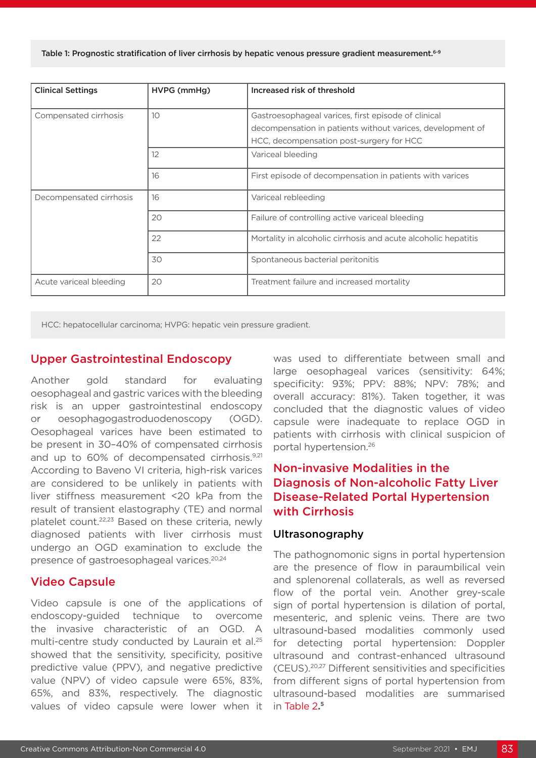Table 1: Prognostic stratification of liver cirrhosis by hepatic venous pressure gradient measurement.<sup>6-9</sup>

| <b>Clinical Settings</b> | HVPG (mmHg)     | Increased risk of threshold                                    |
|--------------------------|-----------------|----------------------------------------------------------------|
| Compensated cirrhosis    | 10 <sup>°</sup> | Gastroesophageal varices, first episode of clinical            |
|                          |                 | decompensation in patients without varices, development of     |
|                          |                 | HCC, decompensation post-surgery for HCC                       |
|                          | 12              | Variceal bleeding                                              |
|                          | 16              | First episode of decompensation in patients with varices       |
| Decompensated cirrhosis  | 16              | Variceal rebleeding                                            |
|                          | 20              | Failure of controlling active variceal bleeding                |
|                          | 22              | Mortality in alcoholic cirrhosis and acute alcoholic hepatitis |
|                          | 30              | Spontaneous bacterial peritonitis                              |
| Acute variceal bleeding  | 20              | Treatment failure and increased mortality                      |

HCC: hepatocellular carcinoma; HVPG: hepatic vein pressure gradient.

#### Upper Gastrointestinal Endoscopy

Another gold standard for evaluating oesophageal and gastric varices with the bleeding risk is an upper gastrointestinal endoscopy or oesophagogastroduodenoscopy (OGD). Oesophageal varices have been estimated to be present in 30–40% of compensated cirrhosis and up to 60% of decompensated cirrhosis.<sup>9,21</sup> According to Baveno VI criteria, high-risk varices are considered to be unlikely in patients with liver stiffness measurement <20 kPa from the result of transient elastography (TE) and normal platelet count.22,23 Based on these criteria, newly diagnosed patients with liver cirrhosis must undergo an OGD examination to exclude the presence of gastroesophageal varices.20,24

#### Video Capsule

Video capsule is one of the applications of endoscopy-guided technique to overcome the invasive characteristic of an OGD. A multi-centre study conducted by Laurain et al.<sup>25</sup> showed that the sensitivity, specificity, positive predictive value (PPV), and negative predictive value (NPV) of video capsule were 65%, 83%, 65%, and 83%, respectively. The diagnostic values of video capsule were lower when it

was used to differentiate between small and large oesophageal varices (sensitivity: 64%; specificity: 93%; PPV: 88%; NPV: 78%; and overall accuracy: 81%). Taken together, it was concluded that the diagnostic values of video capsule were inadequate to replace OGD in patients with cirrhosis with clinical suspicion of portal hypertension.26

# Non-invasive Modalities in the Diagnosis of Non-alcoholic Fatty Liver Disease-Related Portal Hypertension with Cirrhosis

#### Ultrasonography

The pathognomonic signs in portal hypertension are the presence of flow in paraumbilical vein and splenorenal collaterals, as well as reversed flow of the portal vein. Another grey-scale sign of portal hypertension is dilation of portal, mesenteric, and splenic veins. There are two ultrasound-based modalities commonly used for detecting portal hypertension: Doppler ultrasound and contrast-enhanced ultrasound (CEUS).20,27 Different sensitivities and specificities from different signs of portal hypertension from ultrasound-based modalities are summarised in Table 2**. 5**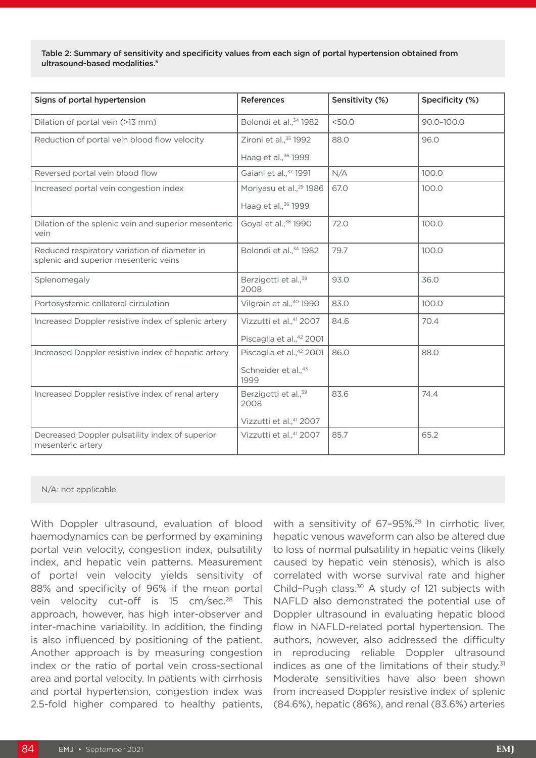Table 2: Summary of sensitivity and specificity values from each sign of portal hypertension obtained from ultrasound-based modalities.<sup>5</sup>

| Signs of portal hypertension                                                          | <b>References</b>                        | Sensitivity (%) | Specificity (%) |
|---------------------------------------------------------------------------------------|------------------------------------------|-----------------|-----------------|
| Dilation of portal vein (>13 mm)                                                      | Bolondi et al., 34 1982                  | < 50.0          | 90.0-100.0      |
| Reduction of portal vein blood flow velocity                                          | Zironi et al., <sup>35</sup> 1992        | 88.0            | 96.0            |
|                                                                                       | Haag et al., <sup>36</sup> 1999          |                 |                 |
| Reversed portal vein blood flow                                                       | Gaiani et al., 37 1991                   | N/A             | 100.0           |
| Increased portal vein congestion index                                                | Moriyasu et al., <sup>29</sup> 1986      | 67.0            | 100.0           |
|                                                                                       | Haag et al., 36 1999                     |                 |                 |
| Dilation of the splenic vein and superior mesenteric<br>vein                          | Goyal et al., <sup>38</sup> 1990         | 72.0            | 100.0           |
| Reduced respiratory variation of diameter in<br>splenic and superior mesenteric veins | Bolondi et al., 34 1982                  | 79.7            | 100.0           |
| Splenomegaly                                                                          | Berzigotti et al., <sup>39</sup><br>2008 | 93.0            | 36.0            |
| Portosystemic collateral circulation                                                  | Vilgrain et al., <sup>40</sup> 1990      | 83.0            | 100.0           |
| Increased Doppler resistive index of splenic artery                                   | Vizzutti et al., <sup>41</sup> 2007      | 84.6            | 70.4            |
|                                                                                       | Piscaglia et al.,42 2001                 |                 |                 |
| Increased Doppler resistive index of hepatic artery                                   | Piscaglia et al.,42 2001                 | 86.0            | 88.0            |
|                                                                                       | Schneider et al., 43<br>1999             |                 |                 |
| Increased Doppler resistive index of renal artery                                     | Berzigotti et al., <sup>39</sup><br>2008 | 83.6            | 74.4            |
|                                                                                       | Vizzutti et al.,41 2007                  |                 |                 |
| Decreased Doppler pulsatility index of superior<br>mesenteric artery                  | Vizzutti et al., <sup>41</sup> 2007      | 85.7            | 65.2            |

#### N/A: not applicable.

With Doppler ultrasound, evaluation of blood haemodynamics can be performed by examining portal vein velocity, congestion index, pulsatility index, and hepatic vein patterns. Measurement of portal vein velocity yields sensitivity of 88% and specificity of 96% if the mean portal vein velocity cut-off is  $15 \text{ cm/sec}^{28}$  This approach, however, has high inter-observer and inter-machine variability. In addition, the finding is also influenced by positioning of the patient. Another approach is by measuring congestion index or the ratio of portal vein cross-sectional area and portal velocity. In patients with cirrhosis and portal hypertension, congestion index was 2.5-fold higher compared to healthy patients,

with a sensitivity of 67–95%.29 In cirrhotic liver, hepatic venous waveform can also be altered due to loss of normal pulsatility in hepatic veins (likely caused by hepatic vein stenosis), which is also correlated with worse survival rate and higher Child–Pugh class.30 A study of 121 subjects with NAFLD also demonstrated the potential use of Doppler ultrasound in evaluating hepatic blood flow in NAFLD-related portal hypertension. The authors, however, also addressed the difficulty in reproducing reliable Doppler ultrasound indices as one of the limitations of their study.<sup>31</sup> Moderate sensitivities have also been shown from increased Doppler resistive index of splenic (84.6%), hepatic (86%), and renal (83.6%) arteries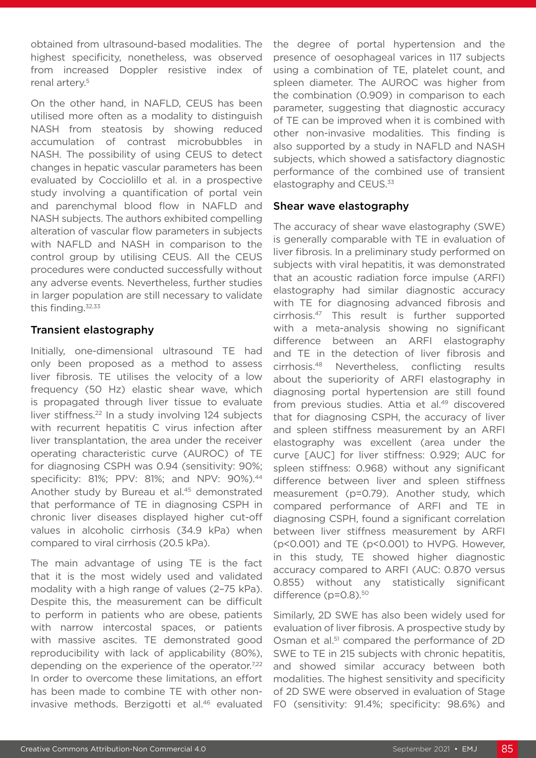obtained from ultrasound-based modalities. The highest specificity, nonetheless, was observed from increased Doppler resistive index of renal artery.5

On the other hand, in NAFLD, CEUS has been utilised more often as a modality to distinguish NASH from steatosis by showing reduced accumulation of contrast microbubbles in NASH. The possibility of using CEUS to detect changes in hepatic vascular parameters has been evaluated by Cocciolillo et al. in a prospective study involving a quantification of portal vein and parenchymal blood flow in NAFLD and NASH subjects. The authors exhibited compelling alteration of vascular flow parameters in subjects with NAFLD and NASH in comparison to the control group by utilising CEUS. All the CEUS procedures were conducted successfully without any adverse events. Nevertheless, further studies in larger population are still necessary to validate this finding.<sup>32,33</sup>

### Transient elastography

Initially, one-dimensional ultrasound TE had only been proposed as a method to assess liver fibrosis. TE utilises the velocity of a low frequency (50 Hz) elastic shear wave, which is propagated through liver tissue to evaluate liver stiffness.<sup>22</sup> In a study involving 124 subjects with recurrent hepatitis C virus infection after liver transplantation, the area under the receiver operating characteristic curve (AUROC) of TE for diagnosing CSPH was 0.94 (sensitivity: 90%; specificity: 81%; PPV: 81%; and NPV: 90%).<sup>44</sup> Another study by Bureau et al.45 demonstrated that performance of TE in diagnosing CSPH in chronic liver diseases displayed higher cut-off values in alcoholic cirrhosis (34.9 kPa) when compared to viral cirrhosis (20.5 kPa).

The main advantage of using TE is the fact that it is the most widely used and validated modality with a high range of values (2–75 kPa). Despite this, the measurement can be difficult to perform in patients who are obese, patients with narrow intercostal spaces, or patients with massive ascites. TE demonstrated good reproducibility with lack of applicability (80%), depending on the experience of the operator.<sup>7,22</sup> In order to overcome these limitations, an effort has been made to combine TE with other noninvasive methods. Berzigotti et al.<sup>46</sup> evaluated

the degree of portal hypertension and the presence of oesophageal varices in 117 subjects using a combination of TE, platelet count, and spleen diameter. The AUROC was higher from the combination (0.909) in comparison to each parameter, suggesting that diagnostic accuracy of TE can be improved when it is combined with other non-invasive modalities. This finding is also supported by a study in NAFLD and NASH subjects, which showed a satisfactory diagnostic performance of the combined use of transient elastography and CEUS.<sup>33</sup>

#### Shear wave elastography

The accuracy of shear wave elastography (SWE) is generally comparable with TE in evaluation of liver fibrosis. In a preliminary study performed on subjects with viral hepatitis, it was demonstrated that an acoustic radiation force impulse (ARFI) elastography had similar diagnostic accuracy with TE for diagnosing advanced fibrosis and cirrhosis.47 This result is further supported with a meta-analysis showing no significant difference between an ARFI elastography and TE in the detection of liver fibrosis and cirrhosis.48 Nevertheless, conflicting results about the superiority of ARFI elastography in diagnosing portal hypertension are still found from previous studies. Attia et al.<sup>49</sup> discovered that for diagnosing CSPH, the accuracy of liver and spleen stiffness measurement by an ARFI elastography was excellent (area under the curve [AUC] for liver stiffness: 0.929; AUC for spleen stiffness: 0.968) without any significant difference between liver and spleen stiffness measurement (p=0.79). Another study, which compared performance of ARFI and TE in diagnosing CSPH, found a significant correlation between liver stiffness measurement by ARFI (p<0.001) and TE (p<0.001) to HVPG. However, in this study, TE showed higher diagnostic accuracy compared to ARFI (AUC: 0.870 versus 0.855) without any statistically significant difference (p=0.8).<sup>50</sup>

Similarly, 2D SWE has also been widely used for evaluation of liver fibrosis. A prospective study by Osman et al.<sup>51</sup> compared the performance of 2D SWE to TE in 215 subjects with chronic hepatitis, and showed similar accuracy between both modalities. The highest sensitivity and specificity of 2D SWE were observed in evaluation of Stage F0 (sensitivity: 91.4%; specificity: 98.6%) and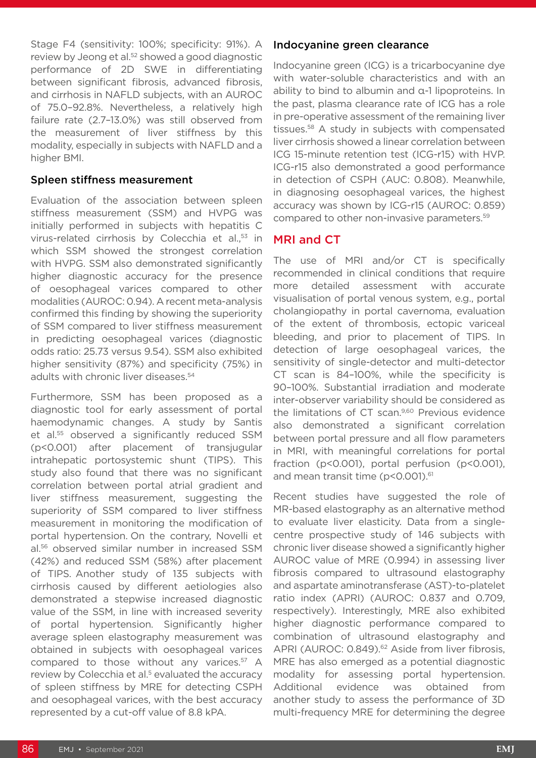Stage F4 (sensitivity: 100%; specificity: 91%). A review by Jeong et al.<sup>52</sup> showed a good diagnostic performance of 2D SWE in differentiating between significant fibrosis, advanced fibrosis, and cirrhosis in NAFLD subjects, with an AUROC of 75.0–92.8%. Nevertheless, a relatively high failure rate (2.7–13.0%) was still observed from the measurement of liver stiffness by this modality, especially in subjects with NAFLD and a higher BMI.

#### Spleen stiffness measurement

Evaluation of the association between spleen stiffness measurement (SSM) and HVPG was initially performed in subjects with hepatitis C virus-related cirrhosis by Colecchia et al.,<sup>53</sup> in which SSM showed the strongest correlation with HVPG. SSM also demonstrated significantly higher diagnostic accuracy for the presence of oesophageal varices compared to other modalities (AUROC: 0.94). A recent meta-analysis confirmed this finding by showing the superiority of SSM compared to liver stiffness measurement in predicting oesophageal varices (diagnostic odds ratio: 25.73 versus 9.54). SSM also exhibited higher sensitivity (87%) and specificity (75%) in adults with chronic liver diseases.54

Furthermore, SSM has been proposed as a diagnostic tool for early assessment of portal haemodynamic changes. A study by Santis et al.55 observed a significantly reduced SSM (p<0.001) after placement of transjugular intrahepatic portosystemic shunt (TIPS). This study also found that there was no significant correlation between portal atrial gradient and liver stiffness measurement, suggesting the superiority of SSM compared to liver stiffness measurement in monitoring the modification of portal hypertension. On the contrary, Novelli et al.56 observed similar number in increased SSM (42%) and reduced SSM (58%) after placement of TIPS. Another study of 135 subjects with cirrhosis caused by different aetiologies also demonstrated a stepwise increased diagnostic value of the SSM, in line with increased severity of portal hypertension. Significantly higher average spleen elastography measurement was obtained in subjects with oesophageal varices compared to those without any varices.<sup>57</sup> A review by Colecchia et al.<sup>5</sup> evaluated the accuracy of spleen stiffness by MRE for detecting CSPH and oesophageal varices, with the best accuracy represented by a cut-off value of 8.8 kPA.

#### Indocyanine green clearance

Indocyanine green (ICG) is a tricarbocyanine dye with water-soluble characteristics and with an ability to bind to albumin and α-1 lipoproteins. In the past, plasma clearance rate of ICG has a role in pre-operative assessment of the remaining liver tissues.58 A study in subjects with compensated liver cirrhosis showed a linear correlation between ICG 15-minute retention test (ICG-r15) with HVP. ICG-r15 also demonstrated a good performance in detection of CSPH (AUC: 0.808). Meanwhile, in diagnosing oesophageal varices, the highest accuracy was shown by ICG-r15 (AUROC: 0.859) compared to other non-invasive parameters.59

# MRI and CT

The use of MRI and/or CT is specifically recommended in clinical conditions that require more detailed assessment with accurate visualisation of portal venous system, e.g., portal cholangiopathy in portal cavernoma, evaluation of the extent of thrombosis, ectopic variceal bleeding, and prior to placement of TIPS. In detection of large oesophageal varices, the sensitivity of single-detector and multi-detector CT scan is 84–100%, while the specificity is 90–100%. Substantial irradiation and moderate inter-observer variability should be considered as the limitations of CT scan.<sup>9,60</sup> Previous evidence also demonstrated a significant correlation between portal pressure and all flow parameters in MRI, with meaningful correlations for portal fraction (p<0.001), portal perfusion (p<0.001), and mean transit time (p<0.001).<sup>61</sup>

Recent studies have suggested the role of MR-based elastography as an alternative method to evaluate liver elasticity. Data from a singlecentre prospective study of 146 subjects with chronic liver disease showed a significantly higher AUROC value of MRE (0.994) in assessing liver fibrosis compared to ultrasound elastography and aspartate aminotransferase (AST)-to-platelet ratio index (APRI) (AUROC: 0.837 and 0.709, respectively). Interestingly, MRE also exhibited higher diagnostic performance compared to combination of ultrasound elastography and APRI (AUROC: 0.849).<sup>62</sup> Aside from liver fibrosis, MRE has also emerged as a potential diagnostic modality for assessing portal hypertension. Additional evidence was obtained from another study to assess the performance of 3D multi-frequency MRE for determining the degree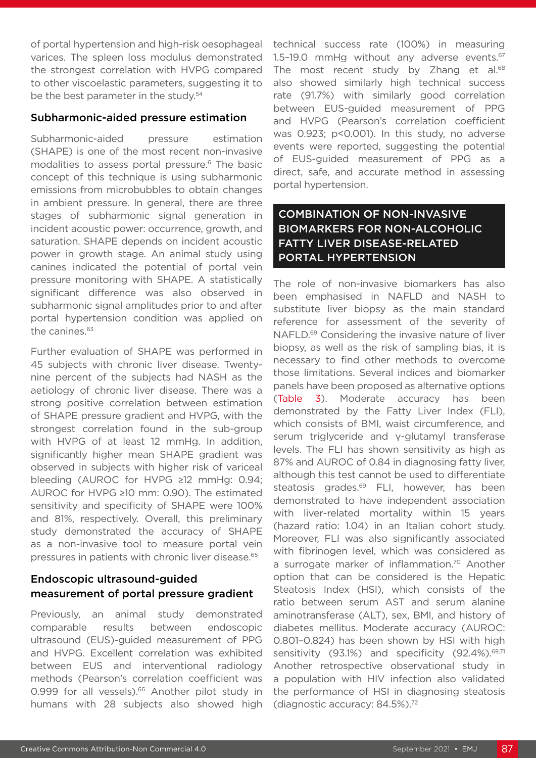of portal hypertension and high-risk oesophageal varices. The spleen loss modulus demonstrated the strongest correlation with HVPG compared to other viscoelastic parameters, suggesting it to be the best parameter in the study.<sup>54</sup>

#### Subharmonic-aided pressure estimation

Subharmonic-aided pressure estimation (SHAPE) is one of the most recent non-invasive modalities to assess portal pressure.<sup>6</sup> The basic concept of this technique is using subharmonic emissions from microbubbles to obtain changes in ambient pressure. In general, there are three stages of subharmonic signal generation in incident acoustic power: occurrence, growth, and saturation. SHAPE depends on incident acoustic power in growth stage. An animal study using canines indicated the potential of portal vein pressure monitoring with SHAPE. A statistically significant difference was also observed in subharmonic signal amplitudes prior to and after portal hypertension condition was applied on the canines.<sup>63</sup>

Further evaluation of SHAPE was performed in 45 subjects with chronic liver disease. Twentynine percent of the subjects had NASH as the aetiology of chronic liver disease. There was a strong positive correlation between estimation of SHAPE pressure gradient and HVPG, with the strongest correlation found in the sub-group with HVPG of at least 12 mmHg. In addition, significantly higher mean SHAPE gradient was observed in subjects with higher risk of variceal bleeding (AUROC for HVPG ≥12 mmHg: 0.94; AUROC for HVPG ≥10 mm: 0.90). The estimated sensitivity and specificity of SHAPE were 100% and 81%, respectively. Overall, this preliminary study demonstrated the accuracy of SHAPE as a non-invasive tool to measure portal vein pressures in patients with chronic liver disease.65

### Endoscopic ultrasound-guided measurement of portal pressure gradient

Previously, an animal study demonstrated comparable results between endoscopic ultrasound (EUS)-guided measurement of PPG and HVPG. Excellent correlation was exhibited between EUS and interventional radiology methods (Pearson's correlation coefficient was 0.999 for all vessels).<sup>66</sup> Another pilot study in humans with 28 subjects also showed high

technical success rate (100%) in measuring 1.5-19.0 mmHq without any adverse events.<sup>67</sup> The most recent study by Zhang et al.<sup>68</sup> also showed similarly high technical success rate (91.7%) with similarly good correlation between EUS-guided measurement of PPG and HVPG (Pearson's correlation coefficient was 0.923; p<0.001). In this study, no adverse events were reported, suggesting the potential of EUS-guided measurement of PPG as a direct, safe, and accurate method in assessing portal hypertension.

# COMBINATION OF NON-INVASIVE BIOMARKERS FOR NON-ALCOHOLIC FATTY LIVER DISEASE-RELATED PORTAL HYPERTENSION

The role of non-invasive biomarkers has also been emphasised in NAFLD and NASH to substitute liver biopsy as the main standard reference for assessment of the severity of NAFLD.69 Considering the invasive nature of liver biopsy, as well as the risk of sampling bias, it is necessary to find other methods to overcome those limitations. Several indices and biomarker panels have been proposed as alternative options (Table 3). Moderate accuracy has been demonstrated by the Fatty Liver Index (FLI), which consists of BMI, waist circumference, and serum triglyceride and γ-glutamyl transferase levels. The FLI has shown sensitivity as high as 87% and AUROC of 0.84 in diagnosing fatty liver, although this test cannot be used to differentiate steatosis grades.<sup>69</sup> FLI, however, has been demonstrated to have independent association with liver-related mortality within 15 years (hazard ratio: 1.04) in an Italian cohort study. Moreover, FLI was also significantly associated with fibrinogen level, which was considered as a surrogate marker of inflammation.<sup>70</sup> Another option that can be considered is the Hepatic Steatosis Index (HSI), which consists of the ratio between serum AST and serum alanine aminotransferase (ALT), sex, BMI, and history of diabetes mellitus. Moderate accuracy (AUROC: 0.801–0.824) has been shown by HSI with high sensitivity (93.1%) and specificity (92.4%).<sup>69,71</sup> Another retrospective observational study in a population with HIV infection also validated the performance of HSI in diagnosing steatosis (diagnostic accuracy: 84.5%).72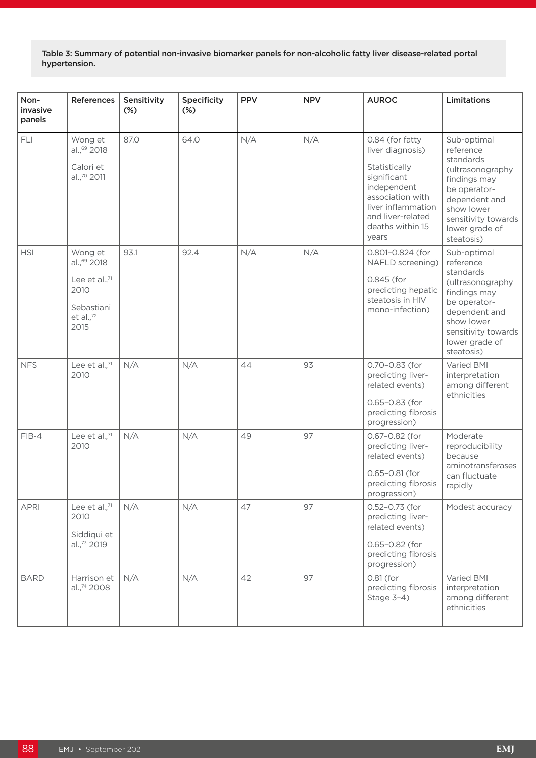Table 3: Summary of potential non-invasive biomarker panels for non-alcoholic fatty liver disease-related portal hypertension.

| Non-<br>invasive<br>panels | References                                                                                           | Sensitivity<br>$(\%)$ | Specificity<br>$(\%)$ | <b>PPV</b> | <b>NPV</b> | <b>AUROC</b>                                                                                                                                                                   | Limitations                                                                                                                                                                     |
|----------------------------|------------------------------------------------------------------------------------------------------|-----------------------|-----------------------|------------|------------|--------------------------------------------------------------------------------------------------------------------------------------------------------------------------------|---------------------------------------------------------------------------------------------------------------------------------------------------------------------------------|
| FLI                        | Wong et<br>al., <sup>69</sup> 2018<br>Calori et<br>al.,70 2011                                       | 87.0                  | 64.0                  | N/A        | N/A        | 0.84 (for fatty<br>liver diagnosis)<br>Statistically<br>significant<br>independent<br>association with<br>liver inflammation<br>and liver-related<br>deaths within 15<br>years | Sub-optimal<br>reference<br>standards<br>(ultrasonography<br>findings may<br>be operator-<br>dependent and<br>show lower<br>sensitivity towards<br>lower grade of<br>steatosis) |
| <b>HSI</b>                 | Wong et<br>al., <sup>69</sup> 2018<br>Lee et al., $71$<br>2010<br>Sebastiani<br>et al., $72$<br>2015 | 93.1                  | 92.4                  | N/A        | N/A        | 0.801-0.824 (for<br>NAFLD screening)<br>0.845 (for<br>predicting hepatic<br>steatosis in HIV<br>mono-infection)                                                                | Sub-optimal<br>reference<br>standards<br>(ultrasonography<br>findings may<br>be operator-<br>dependent and<br>show lower<br>sensitivity towards<br>lower grade of<br>steatosis) |
| <b>NFS</b>                 | Lee et al.,71<br>2010                                                                                | N/A                   | N/A                   | 44         | 93         | 0.70-0.83 (for<br>predicting liver-<br>related events)<br>0.65-0.83 (for<br>predicting fibrosis<br>progression)                                                                | Varied BMI<br>interpretation<br>among different<br>ethnicities                                                                                                                  |
| $FIB-4$                    | Lee et al.,71<br>2010                                                                                | N/A                   | N/A                   | 49         | 97         | 0.67-0.82 (for<br>predicting liver-<br>related events)<br>0.65-0.81 (for<br>predicting fibrosis<br>progression)                                                                | Moderate<br>reproducibility<br>because<br>aminotransferases<br>can fluctuate<br>rapidly                                                                                         |
| <b>APRI</b>                | Lee et al., $71$<br>2010<br>Siddiqui et<br>al., <sup>73</sup> 2019                                   | N/A                   | N/A                   | 47         | 97         | 0.52-0.73 (for<br>predicting liver-<br>related events)<br>0.65-0.82 (for<br>predicting fibrosis<br>progression)                                                                | Modest accuracy                                                                                                                                                                 |
| <b>BARD</b>                | Harrison et<br>al., <sup>74</sup> 2008                                                               | N/A                   | N/A                   | 42         | 97         | 0.81 (for<br>predicting fibrosis<br>Stage 3-4)                                                                                                                                 | Varied BMI<br>interpretation<br>among different<br>ethnicities                                                                                                                  |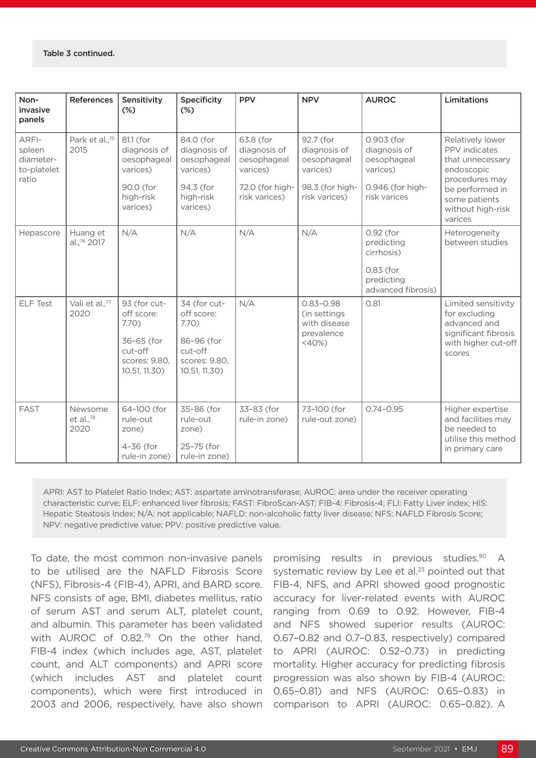| Non-<br>invasive<br>panels                           | <b>References</b>                   | Sensitivity<br>$(\%)$                                                                          | <b>Specificity</b><br>$(\%)$                                                                  | <b>PPV</b>                                                                               | <b>NPV</b>                                                                               | <b>AUROC</b>                                                                              | Limitations                                                                                                                                               |
|------------------------------------------------------|-------------------------------------|------------------------------------------------------------------------------------------------|-----------------------------------------------------------------------------------------------|------------------------------------------------------------------------------------------|------------------------------------------------------------------------------------------|-------------------------------------------------------------------------------------------|-----------------------------------------------------------------------------------------------------------------------------------------------------------|
| ARFI-<br>spleen<br>diameter-<br>to-platelet<br>ratio | Park et al., <sup>75</sup><br>2015  | 81.1 (for<br>diagnosis of<br>oesophageal<br>varices)<br>90.0 (for<br>high-risk<br>varices)     | 84.0 (for<br>diagnosis of<br>oesophageal<br>varices)<br>94.3 (for<br>high-risk<br>varices)    | 63.8 (for<br>diagnosis of<br>oesophageal<br>varices)<br>72.0 (for high-<br>risk varices) | 92.7 (for<br>diagnosis of<br>oesophageal<br>varices)<br>98.3 (for high-<br>risk varices) | 0.903 (for<br>diagnosis of<br>oesophageal<br>varices)<br>0.946 (for high-<br>risk varices | Relatively lower<br>PPV indicates<br>that unnecessary<br>endoscopic<br>procedures may<br>be performed in<br>some patients<br>without high-risk<br>varices |
| Hepascore                                            | Huang et<br>al., <sup>76</sup> 2017 | N/A                                                                                            | N/A                                                                                           | N/A                                                                                      | N/A                                                                                      | 0.92 (for<br>predicting<br>cirrhosis)<br>0.83 (for<br>predicting<br>advanced fibrosis)    | Heterogeneity<br>between studies                                                                                                                          |
| <b>ELF Test</b>                                      | Vali et al.,77<br>2020              | 93 (for cut-<br>off score:<br>7.70)<br>36-65 (for<br>cut-off<br>scores: 9.80,<br>10.51, 11.30) | 34 (for cut-<br>off score:<br>7.70<br>86-96 (for<br>cut-off<br>scores: 9.80,<br>10.51, 11.30) | N/A                                                                                      | $0.83 - 0.98$<br>(in settings<br>with disease<br>prevalence<br>$<$ 40%)                  | 0.81                                                                                      | Limited sensitivity<br>for excluding<br>advanced and<br>significant fibrosis<br>with higher cut-off<br>scores                                             |
| <b>FAST</b>                                          | Newsome<br>et al., $^{78}$<br>2020  | 64-100 (for<br>rule-out<br>zone)<br>$4-36$ (for<br>rule-in zone)                               | 35-86 (for<br>rule-out<br>zone)<br>25-75 (for<br>rule-in zone)                                | 33-83 (for<br>rule-in zone)                                                              | 73-100 (for<br>rule-out zone)                                                            | $0.74 - 0.95$                                                                             | Higher expertise<br>and facilities may<br>be needed to<br>utilise this method<br>in primary care                                                          |

APRI: AST to Platelet Ratio Index; AST: aspartate aminotransferase; AUROC: area under the receiver operating characteristic curve; ELF: enhanced liver fibrosis; FAST: FibroScan-AST; FIB-4: Fibrosis-4; FLI: Fatty Liver index; HIS: Hepatic Steatosis Index; N/A: not applicable; NAFLD: non-alcoholic fatty liver disease; NFS: NAFLD Fibrosis Score; NPV: negative predictive value; PPV: positive predictive value.

To date, the most common non-invasive panels to be utilised are the NAFLD Fibrosis Score (NFS), Fibrosis-4 (FIB-4), APRI, and BARD score. NFS consists of age, BMI, diabetes mellitus, ratio of serum AST and serum ALT, platelet count, and albumin. This parameter has been validated with AUROC of 0.82.79 On the other hand, FIB-4 index (which includes age, AST, platelet count, and ALT components) and APRI score (which includes AST and platelet count components), which were first introduced in 2003 and 2006, respectively, have also shown

promising results in previous studies.<sup>80</sup> A systematic review by Lee et al.<sup>23</sup> pointed out that FIB-4, NFS, and APRI showed good prognostic accuracy for liver-related events with AUROC ranging from 0.69 to 0.92. However, FIB-4 and NFS showed superior results (AUROC: 0.67–0.82 and 0.7–0.83, respectively) compared to APRI (AUROC: 0.52–0.73) in predicting mortality. Higher accuracy for predicting fibrosis progression was also shown by FIB-4 (AUROC: 0.65–0.81) and NFS (AUROC: 0.65–0.83) in comparison to APRI (AUROC: 0.65–0.82). A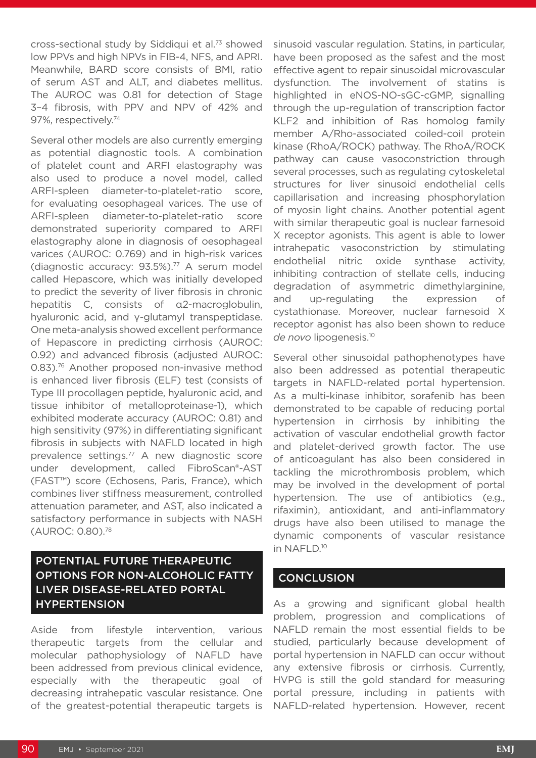cross-sectional study by Siddiqui et al.73 showed low PPVs and high NPVs in FIB-4, NFS, and APRI. Meanwhile, BARD score consists of BMI, ratio of serum AST and ALT, and diabetes mellitus. The AUROC was 0.81 for detection of Stage 3–4 fibrosis, with PPV and NPV of 42% and 97%, respectively.<sup>74</sup>

Several other models are also currently emerging as potential diagnostic tools. A combination of platelet count and ARFI elastography was also used to produce a novel model, called ARFI-spleen diameter-to-platelet-ratio score, for evaluating oesophageal varices. The use of ARFI-spleen diameter-to-platelet-ratio score demonstrated superiority compared to ARFI elastography alone in diagnosis of oesophageal varices (AUROC: 0.769) and in high-risk varices (diagnostic accuracy: 93.5%).77 A serum model called Hepascore, which was initially developed to predict the severity of liver fibrosis in chronic hepatitis C, consists of α2-macroglobulin, hyaluronic acid, and γ-glutamyl transpeptidase. One meta-analysis showed excellent performance of Hepascore in predicting cirrhosis (AUROC: 0.92) and advanced fibrosis (adjusted AUROC: 0.83).76 Another proposed non-invasive method is enhanced liver fibrosis (ELF) test (consists of Type III procollagen peptide, hyaluronic acid, and tissue inhibitor of metalloproteinase-1), which exhibited moderate accuracy (AUROC: 0.81) and high sensitivity (97%) in differentiating significant fibrosis in subjects with NAFLD located in high prevalence settings.77 A new diagnostic score under development, called FibroScan®-AST (FAST™) score (Echosens, Paris, France), which combines liver stiffness measurement, controlled attenuation parameter, and AST, also indicated a satisfactory performance in subjects with NASH (AUROC: 0.80).78

## POTENTIAL FUTURE THERAPEUTIC OPTIONS FOR NON-ALCOHOLIC FATTY LIVER DISEASE-RELATED PORTAL HYPERTENSION

Aside from lifestyle intervention, various therapeutic targets from the cellular and molecular pathophysiology of NAFLD have been addressed from previous clinical evidence, especially with the therapeutic goal of decreasing intrahepatic vascular resistance. One of the greatest-potential therapeutic targets is sinusoid vascular regulation. Statins, in particular, have been proposed as the safest and the most effective agent to repair sinusoidal microvascular dysfunction. The involvement of statins is highlighted in eNOS-NO-sGC-cGMP, signalling through the up-regulation of transcription factor KLF2 and inhibition of Ras homolog family member A/Rho-associated coiled-coil protein kinase (RhoA/ROCK) pathway. The RhoA/ROCK pathway can cause vasoconstriction through several processes, such as regulating cytoskeletal structures for liver sinusoid endothelial cells capillarisation and increasing phosphorylation of myosin light chains. Another potential agent with similar therapeutic goal is nuclear farnesoid X receptor agonists. This agent is able to lower intrahepatic vasoconstriction by stimulating endothelial nitric oxide synthase activity, inhibiting contraction of stellate cells, inducing degradation of asymmetric dimethylarginine, and up-regulating the expression of cystathionase. Moreover, nuclear farnesoid X receptor agonist has also been shown to reduce *de novo* lipogenesis.10

Several other sinusoidal pathophenotypes have also been addressed as potential therapeutic targets in NAFLD-related portal hypertension. As a multi-kinase inhibitor, sorafenib has been demonstrated to be capable of reducing portal hypertension in cirrhosis by inhibiting the activation of vascular endothelial growth factor and platelet-derived growth factor. The use of anticoagulant has also been considered in tackling the microthrombosis problem, which may be involved in the development of portal hypertension. The use of antibiotics (e.g., rifaximin), antioxidant, and anti-inflammatory drugs have also been utilised to manage the dynamic components of vascular resistance in NAFLD.10

### **CONCLUSION**

As a growing and significant global health problem, progression and complications of NAFLD remain the most essential fields to be studied, particularly because development of portal hypertension in NAFLD can occur without any extensive fibrosis or cirrhosis. Currently, HVPG is still the gold standard for measuring portal pressure, including in patients with NAFLD-related hypertension. However, recent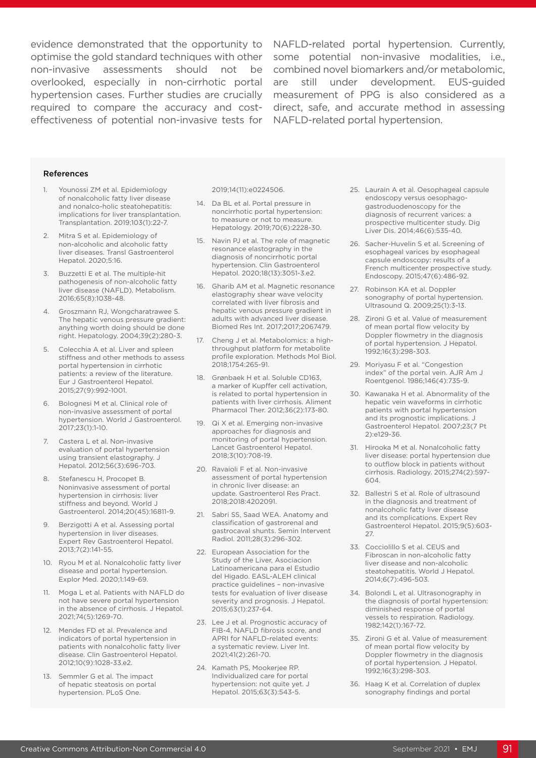overlooked, especially in non-cirrhotic portal effectiveness of potential non-invasive tests for NAFLD-related portal hypertension.

evidence demonstrated that the opportunity to NAFLD-related portal hypertension. Currently, optimise the gold standard techniques with other some potential non-invasive modalities, i.e., non-invasive assessments should not be combined novel biomarkers and/or metabolomic, hypertension cases. Further studies are crucially measurement of PPG is also considered as a required to compare the accuracy and cost- direct, safe, and accurate method in assessing are still under development. EUS-guided

#### References

- 1. Younossi ZM et al. Epidemiology of nonalcoholic fatty liver disease and nonalco-holic steatohepatitis: implications for liver transplantation. Transplantation. 2019;103(1):22-7.
- 2. Mitra S et al. Epidemiology of non-alcoholic and alcoholic fatty liver diseases. Transl Gastroenterol Hepatol. 2020;5:16.
- 3. Buzzetti E et al. The multiple-hit pathogenesis of non-alcoholic fatty liver disease (NAFLD). Metabolism. 2016;65(8):1038-48.
- 4. Groszmann RJ, Wongcharatrawee S. The hepatic venous pressure gradient: anything worth doing should be done right. Hepatology. 2004;39(2):280-3.
- 5. Colecchia A et al. Liver and spleen stiffness and other methods to assess portal hypertension in cirrhotic patients: a review of the literature. Eur J Gastroenterol Hepatol. 2015;27(9):992-1001.
- 6. Bolognesi M et al. Clinical role of non-invasive assessment of portal hypertension. World J Gastroenterol. 2017;23(1):1-10.
- 7. Castera L et al. Non-invasive evaluation of portal hypertension using transient elastography. J Hepatol. 2012;56(3):696-703.
- 8. Stefanescu H, Procopet B. Noninvasive assessment of portal hypertension in cirrhosis: liver stiffness and beyond. World J Gastroenterol. 2014;20(45):16811-9.
- 9. Berzigotti A et al. Assessing portal hypertension in liver diseases. Expert Rev Gastroenterol Hepatol. 2013;7(2):141-55.
- 10. Ryou M et al. Nonalcoholic fatty liver disease and portal hypertension. Explor Med. 2020;1:149-69.
- 11. Moga L et al. Patients with NAFLD do not have severe portal hypertension in the absence of cirrhosis. J Hepatol. 2021;74(5):1269-70.
- 12. Mendes FD et al. Prevalence and indicators of portal hypertension in patients with nonalcoholic fatty liver disease. Clin Gastroenterol Hepatol. 2012;10(9):1028-33.e2.
- 13. Semmler G et al. The impact of hepatic steatosis on portal hypertension. PLoS One.

#### 2019;14(11):e0224506.

- 14. Da BL et al. Portal pressure in noncirrhotic portal hypertension: to measure or not to measure. Hepatology. 2019;70(6):2228-30.
- 15. Navin PJ et al. The role of magnetic resonance elastography in the diagnosis of noncirrhotic portal hypertension. Clin Gastroenterol Hepatol. 2020;18(13):3051-3.e2.
- 16. Gharib AM et al. Magnetic resonance elastography shear wave velocity correlated with liver fibrosis and hepatic venous pressure gradient in adults with advanced liver disease. Biomed Res Int. 2017;2017;2067479.
- 17. Cheng J et al. Metabolomics: a highthroughput platform for metabolite profile exploration. Methods Mol Biol. 2018;1754:265-91.
- 18. Grønbaek H et al. Soluble CD163, a marker of Kupffer cell activation, is related to portal hypertension in patients with liver cirrhosis. Aliment Pharmacol Ther. 2012;36(2):173-80.
- 19. Qi X et al. Emerging non-invasive approaches for diagnosis and monitoring of portal hypertension. Lancet Gastroenterol Hepatol. 2018;3(10):708-19.
- 20. Ravaioli F et al. Non-invasive assessment of portal hypertension in chronic liver disease: an update. Gastroenterol Res Pract. 2018;2018:4202091.
- 21. Sabri SS, Saad WEA. Anatomy and classification of gastrorenal and gastrocaval shunts. Semin Intervent Radiol. 2011;28(3):296-302.
- 22. European Association for the Study of the Liver, Asociacion Latinoamericana para el Estudio del Higado. EASL-ALEH clinical practice guidelines – non-invasive tests for evaluation of liver disease severity and prognosis. J Hepatol. 2015;63(1):237-64.
- 23. Lee J et al. Prognostic accuracy of FIB-4, NAFLD fibrosis score, and APRI for NAFLD-related events: a systematic review. Liver Int. 2021;41(2):261-70.
- 24. Kamath PS, Mookerjee RP. Individualized care for portal hypertension: not quite yet. J Hepatol. 2015;63(3):543-5.
- 25. Laurain A et al. Oesophageal capsule endoscopy versus oesophagogastroduodenoscopy for the diagnosis of recurrent varices: a prospective multicenter study. Dig Liver Dis. 2014;46(6):535-40.
- 26. Sacher-Huvelin S et al. Screening of esophageal varices by esophageal capsule endoscopy: results of a French multicenter prospective study. Endoscopy. 2015;47(6):486-92.
- 27. Robinson KA et al. Doppler sonography of portal hypertension. Ultrasound Q. 2009;25(1):3-13.
- 28. Zironi G et al. Value of measurement of mean portal flow velocity by Doppler flowmetry in the diagnosis of portal hypertension. J Hepatol. 1992;16(3):298-303.
- 29. Moriyasu F et al. "Congestion index" of the portal vein. AJR Am J Roentgenol. 1986;146(4):735-9.
- 30. Kawanaka H et al. Abnormality of the hepatic vein waveforms in cirrhotic patients with portal hypertension and its prognostic implications. J Gastroenterol Hepatol. 2007;23(7 Pt 2):e129-36.
- 31. Hirooka M et al. Nonalcoholic fatty liver disease: portal hypertension due to outflow block in patients without cirrhosis. Radiology. 2015;274(2):597- 604.
- 32. Ballestri S et al. Role of ultrasound in the diagnosis and treatment of nonalcoholic fatty liver disease and its complications. Expert Rev Gastroenterol Hepatol. 2015;9(5):603- 27.
- 33. Cocciolillo S et al. CEUS and Fibroscan in non-alcoholic fatty liver disease and non-alcoholic steatohepatitis. World J Hepatol. 2014;6(7):496-503.
- 34. Bolondi L et al. Ultrasonography in the diagnosis of portal hypertension: diminished response of portal vessels to respiration. Radiology. 1982;142(1):167-72.
- 35. Zironi G et al. Value of measurement of mean portal flow velocity by Doppler flowmetry in the diagnosis of portal hypertension. J Hepatol. 1992;16(3):298-303.
- 36. Haag K et al. Correlation of duplex sonography findings and portal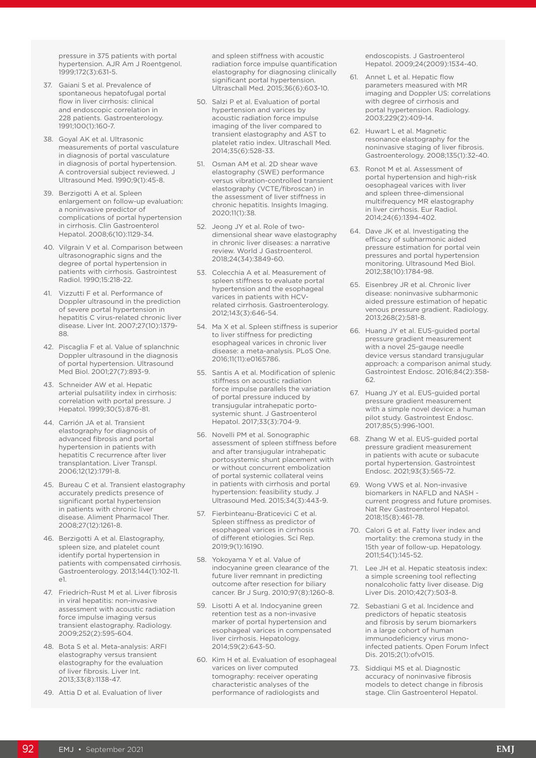pressure in 375 patients with portal hypertension. AJR Am J Roentgenol. 1999;172(3):631-5.

- 37. Gaiani S et al. Prevalence of spontaneous hepatofugal portal flow in liver cirrhosis: clinical and endoscopic correlation in 228 patients. Gastroenterology. 1991;100(1):160-7.
- 38. Goyal AK et al. Ultrasonic measurements of portal vasculature in diagnosis of portal vasculature in diagnosis of portal hypertension. A controversial subject reviewed. J Ultrasound Med. 1990;9(1):45-8.
- 39. Berzigotti A et al. Spleen enlargement on follow-up evaluation: a noninvasive predictor of complications of portal hypertension in cirrhosis. Clin Gastroenterol Hepatol. 2008;6(10):1129-34.
- 40. Vilgrain V et al. Comparison between ultrasonographic signs and the degree of portal hypertension in patients with cirrhosis. Gastrointest Radiol. 1990;15:218-22.
- 41. Vizzutti F et al. Performance of Doppler ultrasound in the prediction of severe portal hypertension in hepatitis C virus-related chronic liver disease. Liver Int. 2007;27(10):1379- 88.
- 42. Piscaglia F et al. Value of splanchnic Doppler ultrasound in the diagnosis of portal hypertension. Ultrasound Med Biol. 2001;27(7):893-9.
- 43. Schneider AW et al. Hepatic arterial pulsatility index in cirrhosis: correlation with portal pressure. J Hepatol. 1999;30(5):876-81.
- 44. Carrión JA et al. Transient elastography for diagnosis of advanced fibrosis and portal hypertension in patients with hepatitis C recurrence after liver transplantation. Liver Transpl. 2006;12(12):1791-8.
- 45. Bureau C et al. Transient elastography accurately predicts presence of significant portal hypertension in patients with chronic liver disease. Aliment Pharmacol Ther. 2008;27(12):1261-8.
- 46. Berzigotti A et al. Elastography, spleen size, and platelet count identify portal hypertension in patients with compensated cirrhosis. Gastroenterology. 2013;144(1):102-11.  $\approx$ 1
- 47. Friedrich-Rust M et al. Liver fibrosis in viral hepatitis: non-invasive assessment with acoustic radiation force impulse imaging versus transient elastography. Radiology. 2009;252(2):595-604.
- 48. Bota S et al. Meta-analysis: ARFI elastography versus transient elastography for the evaluation of liver fibrosis. Liver Int. 2013;33(8):1138-47.
- 49. Attia D et al. Evaluation of liver

and spleen stiffness with acoustic radiation force impulse quantification elastography for diagnosing clinically significant portal hypertension. Ultraschall Med. 2015;36(6):603-10.

- 50. Salzi P et al. Evaluation of portal hypertension and varices by acoustic radiation force impulse imaging of the liver compared to transient elastography and AST to platelet ratio index. Ultraschall Med. 2014;35(6):528-33.
- 51. Osman AM et al. 2D shear wave elastography (SWE) performance versus vibration-controlled transient elastography (VCTE/fibroscan) in the assessment of liver stiffness in chronic hepatitis. Insights Imaging. 2020;11(1):38.
- 52. Jeong JY et al. Role of twodimensional shear wave elastography in chronic liver diseases: a narrative review. World J Gastroenterol. 2018;24(34):3849-60.
- 53. Colecchia A et al. Measurement of spleen stiffness to evaluate portal hypertension and the esophageal varices in patients with HCVrelated cirrhosis. Gastroenterology. 2012;143(3):646-54.
- 54. Ma X et al. Spleen stiffness is superior to liver stiffness for predicting esophageal varices in chronic liver disease: a meta-analysis. PLoS One. 2016;11(11):e0165786.
- 55. Santis A et al. Modification of splenic stiffness on acoustic radiation force impulse parallels the variation of portal pressure induced by transjugular intrahepatic portosystemic shunt. J Gastroenterol Hepatol. 2017;33(3):704-9.
- 56. Novelli PM et al. Sonographic assessment of spleen stiffness before and after transjugular intrahepatic portosystemic shunt placement with or without concurrent embolization of portal systemic collateral veins in patients with cirrhosis and portal hypertension: feasibility study. J Ultrasound Med. 2015;34(3):443-9.
- 57. Fierbinteanu-Braticevici C et al. Spleen stiffness as predictor of esophageal varices in cirrhosis of different etiologies. Sci Rep. 2019;9(1):16190.
- 58. Yokoyama Y et al. Value of indocyanine green clearance of the future liver remnant in predicting outcome after resection for biliary cancer. Br J Surg. 2010;97(8):1260-8.
- 59. Lisotti A et al. Indocyanine green retention test as a non-invasive marker of portal hypertension and esophageal varices in compensated liver cirrhosis. Hepatology. 2014;59(2):643-50.
- 60. Kim H et al. Evaluation of esophageal varices on liver computed tomography: receiver operating characteristic analyses of the performance of radiologists and

endoscopists. J Gastroenterol Hepatol. 2009;24(2009):1534-40.

- 61. Annet L et al. Hepatic flow parameters measured with MR imaging and Doppler US: correlations with degree of cirrhosis and portal hypertension. Radiology. 2003;229(2):409-14.
- 62. Huwart L et al. Magnetic resonance elastography for the noninvasive staging of liver fibrosis. Gastroenterology. 2008;135(1):32-40.
- 63. Ronot M et al. Assessment of portal hypertension and high-risk oesophageal varices with liver and spleen three-dimensional multifrequency MR elastography in liver cirrhosis. Eur Radiol. 2014;24(6):1394-402.
- 64. Dave JK et al. Investigating the efficacy of subharmonic aided pressure estimation for portal vein pressures and portal hypertension monitoring. Ultrasound Med Biol. 2012;38(10):1784-98.
- 65. Eisenbrey JR et al. Chronic liver disease: noninvasive subharmonic aided pressure estimation of hepatic venous pressure gradient. Radiology. 2013;268(2):581-8.
- 66. Huang JY et al. EUS-guided portal pressure gradient measurement with a novel 25-gauge needle device versus standard transjugular approach: a comparison animal study. Gastrointest Endosc. 2016;84(2):358- 62.
- 67. Huang JY et al. EUS-guided portal pressure gradient measurement with a simple novel device: a human pilot study. Gastrointest Endosc. 2017;85(5):996-1001.
- 68. Zhang W et al. EUS-guided portal pressure gradient measurement in patients with acute or subacute portal hypertension. Gastrointest Endosc. 2021;93(3):565-72.
- 69. Wong VWS et al. Non-invasive biomarkers in NAFLD and NASH current progress and future promises. Nat Rev Gastroenterol Hepatol. 2018;15(8):461-78.
- 70. Calori G et al. Fatty liver index and mortality: the cremona study in the 15th year of follow-up. Hepatology. 2011;54(1):145-52.
- 71. Lee JH et al. Hepatic steatosis index: a simple screening tool reflecting nonalcoholic fatty liver disease. Dig Liver Dis. 2010;42(7):503-8.
- 72. Sebastiani G et al. Incidence and predictors of hepatic steatosis and fibrosis by serum biomarkers in a large cohort of human immunodeficiency virus monoinfected patients. Open Forum Infect Dis. 2015;2(1):ofv015.
- 73. Siddiqui MS et al. Diagnostic accuracy of noninvasive fibrosis models to detect change in fibrosis stage. Clin Gastroenterol Hepatol.